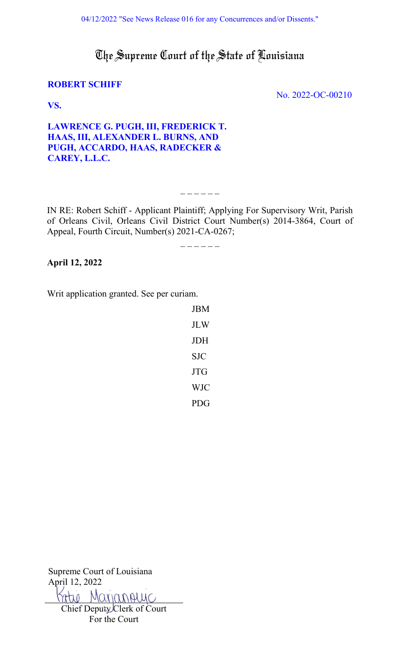# The Supreme Court of the State of Louisiana

# **ROBERT SCHIFF**

No. 2022-OC-00210

**VS.** 

**LAWRENCE G. PUGH, III, FREDERICK T. HAAS, III, ALEXANDER L. BURNS, AND [PUGH, ACCARDO, HAAS, RADECKER &](#page-1-0)  CAREY, L.L.C.** 

IN RE: Robert Schiff - Applicant Plaintiff; Applying For Supervisory Writ, Parish of Orleans Civil, Orleans Civil District Court Number(s) 2014-3864, Court of Appeal, Fourth Circuit, Number(s) 2021-CA-0267; \_ \_ \_ \_ \_ \_

 $- - - - - -$ 

**April 12, 2022**

Writ application granted. See per curiam.

| <b>JBM</b> |
|------------|
| JLW        |
| JDH        |
| SJC        |
| JTG        |
| <b>WJC</b> |
| PDG        |

Supreme Court of Louisiana April 12, 2022

Marianouuc Chief Deputy Clerk of Court

For the Court